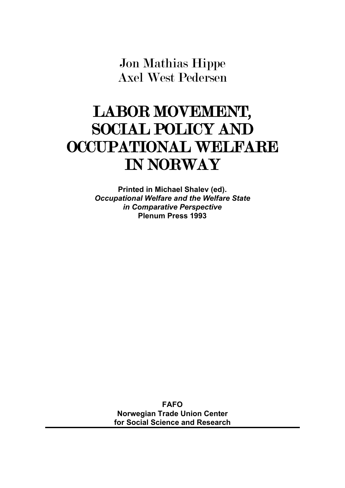Jon Mathias Hippe Axel West Pedersen

# LABOR MOVEMENT, SOCIAL POLICY AND OCCUPATIONAL WELFARE IN NORWAY

**Printed in Michael Shalev (ed).** *Occupational Welfare and the Welfare State in Comparative Perspective* **Plenum Press 1993**

> **FAFO Norwegian Trade Union Center for Social Science and Research**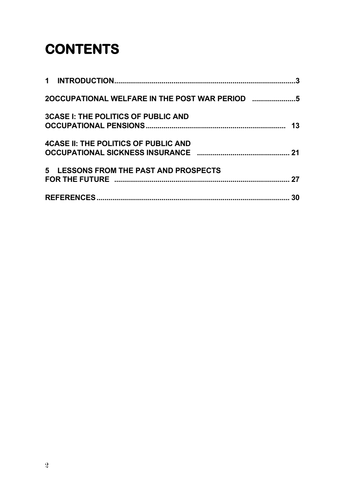# **CONTENTS**

|                                              | 3  |
|----------------------------------------------|----|
| 2OCCUPATIONAL WELFARE IN THE POST WAR PERIOD |    |
| <b>3CASE I: THE POLITICS OF PUBLIC AND</b>   | 13 |
| <b>4CASE II: THE POLITICS OF PUBLIC AND</b>  | 21 |
| 5 LESSONS FROM THE PAST AND PROSPECTS        | 27 |
|                                              | 30 |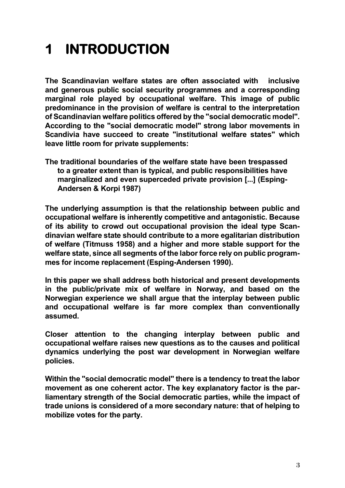# **1 INTRODUCTION**

**The Scandinavian welfare states are often associated with inclusive and generous public social security programmes and a corresponding marginal role played by occupational welfare. This image of public predominance in the provision of welfare is central to the interpretation of Scandinavian welfare politics offered by the "social democratic model". According to the "social democratic model" strong labor movements in Scandivia have succeed to create "institutional welfare states" which leave little room for private supplements:** 

**The traditional boundaries of the welfare state have been trespassed to a greater extent than is typical, and public responsibilities have marginalized and even superceded private provision [...] (Esping-Andersen & Korpi 1987)**

**The underlying assumption is that the relationship between public and occupational welfare is inherently competitive and antagonistic. Because of its ability to crowd out occupational provision the ideal type Scandinavian welfare state should contribute to a more egalitarian distribution of welfare (Titmuss 1958) and a higher and more stable support for the welfare state, since all segments of the labor force rely on public programmes for income replacement (Esping-Andersen 1990).** 

**In this paper we shall address both historical and present developments in the public/private mix of welfare in Norway, and based on the Norwegian experience we shall argue that the interplay between public and occupational welfare is far more complex than conventionally assumed.** 

**Closer attention to the changing interplay between public and occupational welfare raises new questions as to the causes and political dynamics underlying the post war development in Norwegian welfare policies.** 

**Within the "social democratic model" there is a tendency to treat the labor movement as one coherent actor. The key explanatory factor is the parliamentary strength of the Social democratic parties, while the impact of trade unions is considered of a more secondary nature: that of helping to mobilize votes for the party.**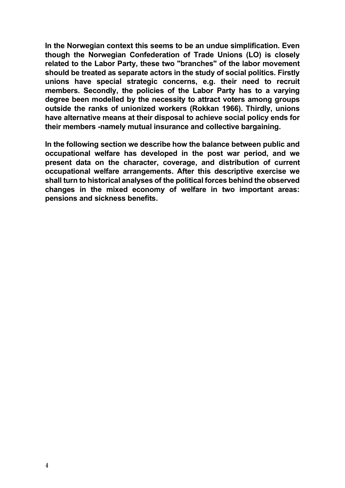**In the Norwegian context this seems to be an undue simplification. Even though the Norwegian Confederation of Trade Unions (LO) is closely related to the Labor Party, these two "branches" of the labor movement should be treated as separate actors in the study of social politics. Firstly unions have special strategic concerns, e.g. their need to recruit members. Secondly, the policies of the Labor Party has to a varying degree been modelled by the necessity to attract voters among groups outside the ranks of unionized workers (Rokkan 1966). Thirdly, unions have alternative means at their disposal to achieve social policy ends for their members -namely mutual insurance and collective bargaining.** 

**In the following section we describe how the balance between public and occupational welfare has developed in the post war period, and we present data on the character, coverage, and distribution of current occupational welfare arrangements. After this descriptive exercise we shall turn to historical analyses of the political forces behind the observed changes in the mixed economy of welfare in two important areas: pensions and sickness benefits.**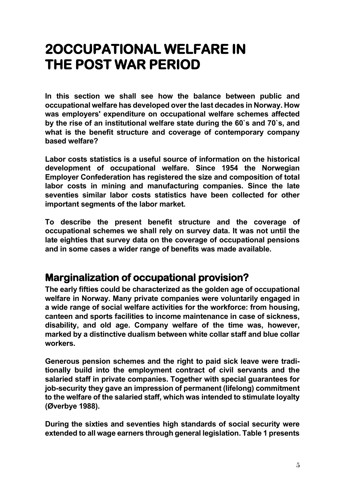# **2OCCUPATIONAL WELFARE IN THE POST WAR PERIOD**

**In this section we shall see how the balance between public and occupational welfare has developed over the last decades in Norway. How was employers' expenditure on occupational welfare schemes affected by the rise of an institutional welfare state during the 60`s and 70`s, and what is the benefit structure and coverage of contemporary company based welfare?**

**Labor costs statistics is a useful source of information on the historical development of occupational welfare. Since 1954 the Norwegian Employer Confederation has registered the size and composition of total labor costs in mining and manufacturing companies. Since the late seventies similar labor costs statistics have been collected for other important segments of the labor market.** 

**To describe the present benefit structure and the coverage of occupational schemes we shall rely on survey data. It was not until the late eighties that survey data on the coverage of occupational pensions and in some cases a wider range of benefits was made available.** 

### **Marginalization of occupational provision?**

**The early fifties could be characterized as the golden age of occupational welfare in Norway. Many private companies were voluntarily engaged in a wide range of social welfare activities for the workforce: from housing, canteen and sports facilities to income maintenance in case of sickness, disability, and old age. Company welfare of the time was, however, marked by a distinctive dualism between white collar staff and blue collar workers.**

**Generous pension schemes and the right to paid sick leave were traditionally build into the employment contract of civil servants and the salaried staff in private companies. Together with special guarantees for job-security they gave an impression of permanent (lifelong) commitment to the welfare of the salaried staff, which was intended to stimulate loyalty (Øverbye 1988).**

**During the sixties and seventies high standards of social security were extended to all wage earners through general legislation. Table 1 presents**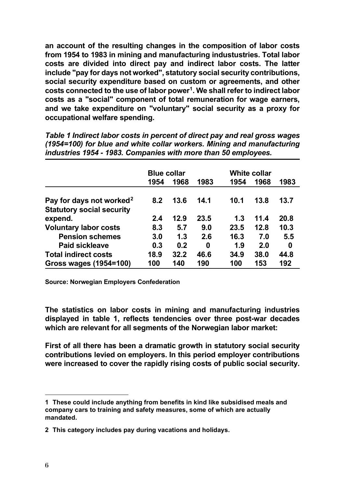**an account of the resulting changes in the composition of labor costs from 1954 to 1983 in mining and manufacturing industustries. Total labor costs are divided into direct pay and indirect labor costs. The latter include "pay for days not worked", statutory social security contributions, social security expenditure based on custom or agreements, and other costs connected to the use of labor power[1](#page-5-0). We shall refer to indirect labor costs as a "social" component of total remuneration for wage earners, and we take expenditure on "voluntary" social security as a proxy for occupational welfare spending.**

*Table 1 Indirect labor costs in percent of direct pay and real gross wages (1954=100) for blue and white collar workers. Mining and manufacturing industries 1954 - 1983. Companies with more than 50 employees.* 

|                                                                          | <b>Blue collar</b> |      |      | <b>White collar</b> |      |      |
|--------------------------------------------------------------------------|--------------------|------|------|---------------------|------|------|
|                                                                          | 1954               | 1968 | 1983 | 1954                | 1968 | 1983 |
| Pay for days not worked <sup>2</sup><br><b>Statutory social security</b> | 8.2                | 13.6 | 14.1 | 10.1                | 13.8 | 13.7 |
| expend.                                                                  | 2.4                | 12.9 | 23.5 | 1.3                 | 11.4 | 20.8 |
| <b>Voluntary labor costs</b>                                             | 8.3                | 5.7  | 9.0  | 23.5                | 12.8 | 10.3 |
| <b>Pension schemes</b>                                                   | 3.0                | 1.3  | 2.6  | 16.3                | 7.0  | 5.5  |
| <b>Paid sickleave</b>                                                    | 0.3                | 0.2  | 0    | 1.9                 | 2.0  | 0    |
| <b>Total indirect costs</b>                                              | 18.9               | 32.2 | 46.6 | 34.9                | 38.0 | 44.8 |
| <b>Gross wages (1954=100)</b>                                            | 100                | 140  | 190  | 100                 | 153  | 192  |

**Source: Norwegian Employers Confederation**

**The statistics on labor costs in mining and manufacturing industries displayed in table 1, reflects tendencies over three post-war decades which are relevant for all segments of the Norwegian labor market:** 

**First of all there has been a dramatic growth in statutory social security contributions levied on employers. In this period employer contributions were increased to cover the rapidly rising costs of public social security.** 

<span id="page-5-0"></span>**<sup>1</sup> These could include anything from benefits in kind like subsidised meals and company cars to training and safety measures, some of which are actually mandated.** 

<span id="page-5-1"></span>**<sup>2</sup> This category includes pay during vacations and holidays.**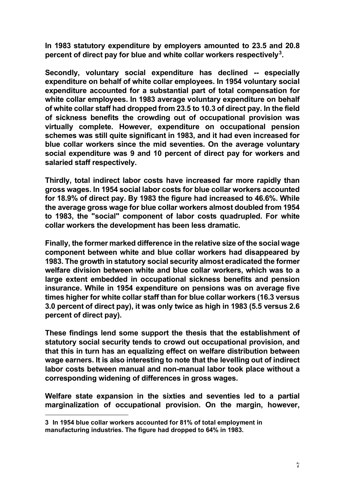**In 1983 statutory expenditure by employers amounted to 23.5 and 20.8 percent of direct pay for blue and white collar workers respectively[3](#page-6-0).** 

**Secondly, voluntary social expenditure has declined -- especially expenditure on behalf of white collar employees. In 1954 voluntary social expenditure accounted for a substantial part of total compensation for white collar employees. In 1983 average voluntary expenditure on behalf of white collar staff had dropped from 23.5 to 10.3 of direct pay. In the field of sickness benefits the crowding out of occupational provision was virtually complete. However, expenditure on occupational pension schemes was still quite significant in 1983, and it had even increased for blue collar workers since the mid seventies. On the average voluntary social expenditure was 9 and 10 percent of direct pay for workers and salaried staff respectively.** 

**Thirdly, total indirect labor costs have increased far more rapidly than gross wages. In 1954 social labor costs for blue collar workers accounted for 18.9% of direct pay. By 1983 the figure had increased to 46.6%. While the average gross wage for blue collar workers almost doubled from 1954 to 1983, the "social" component of labor costs quadrupled. For white collar workers the development has been less dramatic.** 

**Finally, the former marked difference in the relative size of the social wage component between white and blue collar workers had disappeared by 1983. The growth in statutory social security almost eradicated the former welfare division between white and blue collar workers, which was to a large extent embedded in occupational sickness benefits and pension insurance. While in 1954 expenditure on pensions was on average five times higher for white collar staff than for blue collar workers (16.3 versus 3.0 percent of direct pay), it was only twice as high in 1983 (5.5 versus 2.6 percent of direct pay).** 

**These findings lend some support the thesis that the establishment of statutory social security tends to crowd out occupational provision, and that this in turn has an equalizing effect on welfare distribution between wage earners. It is also interesting to note that the levelling out of indirect labor costs between manual and non-manual labor took place without a corresponding widening of differences in gross wages.** 

**Welfare state expansion in the sixties and seventies led to a partial marginalization of occupational provision. On the margin, however,** 

<span id="page-6-0"></span>**<sup>3</sup> In 1954 blue collar workers accounted for 81% of total employment in manufacturing industries. The figure had dropped to 64% in 1983.**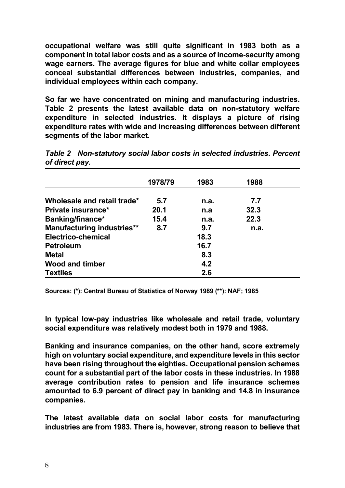**occupational welfare was still quite significant in 1983 both as a component in total labor costs and as a source of income-security among wage earners. The average figures for blue and white collar employees conceal substantial differences between industries, companies, and individual employees within each company.** 

**So far we have concentrated on mining and manufacturing industries. Table 2 presents the latest available data on non-statutory welfare expenditure in selected industries. It displays a picture of rising expenditure rates with wide and increasing differences between different segments of the labor market.**

|                                   | 1978/79 | 1983 | 1988 |  |
|-----------------------------------|---------|------|------|--|
|                                   |         |      |      |  |
| Wholesale and retail trade*       | 5.7     | n.a. | 7.7  |  |
| Private insurance*                | 20.1    | n.a  | 32.3 |  |
| Banking/finance*                  | 15.4    | n.a. | 22.3 |  |
| <b>Manufacturing industries**</b> | 8.7     | 9.7  | n.a. |  |
| Electrico-chemical                |         | 18.3 |      |  |
| <b>Petroleum</b>                  |         | 16.7 |      |  |
| <b>Metal</b>                      |         | 8.3  |      |  |
| <b>Wood and timber</b>            |         | 4.2  |      |  |
| <b>Textiles</b>                   |         | 2.6  |      |  |

*Table 2 Non-statutory social labor costs in selected industries. Percent of direct pay.*

**Sources: (\*): Central Bureau of Statistics of Norway 1989 (\*\*): NAF; 1985**

**In typical low-pay industries like wholesale and retail trade, voluntary social expenditure was relatively modest both in 1979 and 1988.** 

**Banking and insurance companies, on the other hand, score extremely high on voluntary social expenditure, and expenditure levels in this sector have been rising throughout the eighties. Occupational pension schemes count for a substantial part of the labor costs in these industries. In 1988 average contribution rates to pension and life insurance schemes amounted to 6.9 percent of direct pay in banking and 14.8 in insurance companies.**

**The latest available data on social labor costs for manufacturing industries are from 1983. There is, however, strong reason to believe that**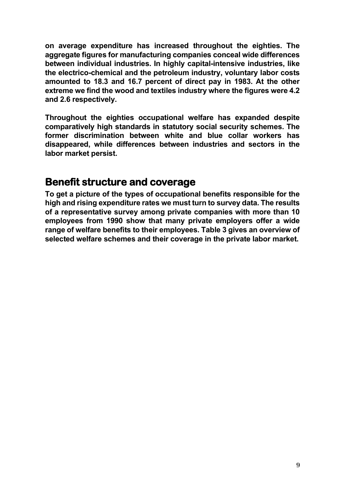**on average expenditure has increased throughout the eighties. The aggregate figures for manufacturing companies conceal wide differences between individual industries. In highly capital-intensive industries, like the electrico-chemical and the petroleum industry, voluntary labor costs amounted to 18.3 and 16.7 percent of direct pay in 1983. At the other extreme we find the wood and textiles industry where the figures were 4.2 and 2.6 respectively.** 

**Throughout the eighties occupational welfare has expanded despite comparatively high standards in statutory social security schemes. The former discrimination between white and blue collar workers has disappeared, while differences between industries and sectors in the labor market persist.** 

#### **Benefit structure and coverage**

**To get a picture of the types of occupational benefits responsible for the high and rising expenditure rates we must turn to survey data. The results of a representative survey among private companies with more than 10 employees from 1990 show that many private employers offer a wide range of welfare benefits to their employees. Table 3 gives an overview of selected welfare schemes and their coverage in the private labor market.**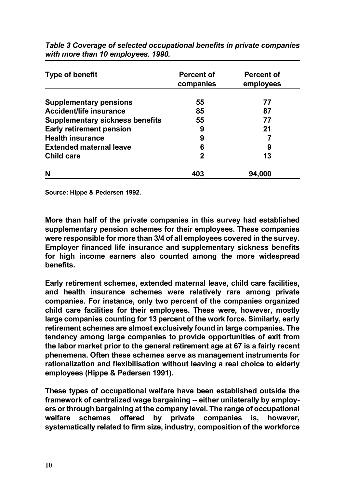| <b>Type of benefit</b>                 | <b>Percent of</b><br>companies | <b>Percent of</b><br>employees |  |  |
|----------------------------------------|--------------------------------|--------------------------------|--|--|
| <b>Supplementary pensions</b>          | 55                             | 77                             |  |  |
| <b>Accident/life insurance</b>         | 85                             | 87                             |  |  |
| <b>Supplementary sickness benefits</b> | 55                             | 77                             |  |  |
| <b>Early retirement pension</b>        | 9                              | 21                             |  |  |
| <b>Health insurance</b>                | 9                              |                                |  |  |
| <b>Extended maternal leave</b>         | 6                              | 9                              |  |  |
| <b>Child care</b>                      | 2                              | 13                             |  |  |
| N                                      | 403                            | 94,000                         |  |  |

*Table 3 Coverage of selected occupational benefits in private companies with more than 10 employees. 1990.*

**Source: Hippe & Pedersen 1992.**

**More than half of the private companies in this survey had established supplementary pension schemes for their employees. These companies were responsible for more than 3/4 of all employees covered in the survey. Employer financed life insurance and supplementary sickness benefits for high income earners also counted among the more widespread benefits.** 

**Early retirement schemes, extended maternal leave, child care facilities, and health insurance schemes were relatively rare among private companies. For instance, only two percent of the companies organized child care facilities for their employees. These were, however, mostly large companies counting for 13 percent of the work force. Similarly, early retirement schemes are almost exclusively found in large companies. The tendency among large companies to provide opportunities of exit from the labor market prior to the general retirement age at 67 is a fairly recent phenemena. Often these schemes serve as management instruments for rationalization and flexibilisation without leaving a real choice to elderly employees (Hippe & Pedersen 1991).** 

**These types of occupational welfare have been established outside the framework of centralized wage bargaining -- either unilaterally by employers or through bargaining at the company level. The range of occupational welfare schemes offered by private companies is, however, systematically related to firm size, industry, composition of the workforce**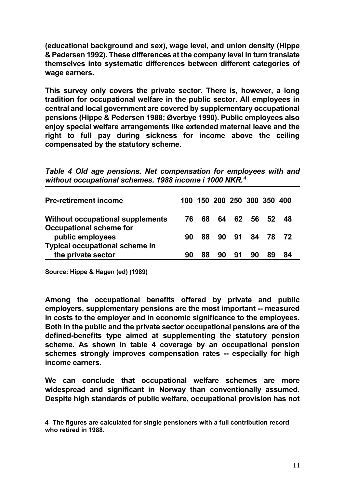**(educational background and sex), wage level, and union density (Hippe & Pedersen 1992). These differences at the company level in turn translate themselves into systematic differences between different categories of wage earners.** 

**This survey only covers the private sector. There is, however, a long tradition for occupational welfare in the public sector. All employees in central and local government are covered by supplementary occupational pensions (Hippe & Pedersen 1988; Øverbye 1990). Public employees also enjoy special welfare arrangements like extended maternal leave and the right to full pay during sickness for income above the ceiling compensated by the statutory scheme.** 

*Table 4 Old age pensions. Net compensation for employees with and without occupational schemes. 1988 income i 1000 NKR.[4](#page-10-0)*

| <b>Pre-retirement income</b>          |    |     | 100 150 200 250 300 350 400 |    |                |          |    |  |
|---------------------------------------|----|-----|-----------------------------|----|----------------|----------|----|--|
| Without occupational supplements      | 76 | 68  | 64                          | 62 |                | 56 52 48 |    |  |
| <b>Occupational scheme for</b>        |    |     |                             |    |                |          |    |  |
| public employees                      | 90 | 88. |                             |    | 90 91 84 78 72 |          |    |  |
| <b>Typical occupational scheme in</b> |    |     |                             |    |                |          |    |  |
| the private sector                    | 90 | 88  | 90                          | 91 | 90             | 89       | 84 |  |

**Source: Hippe & Hagen (ed) (1989)**

**Among the occupational benefits offered by private and public employers, supplementary pensions are the most important -- measured in costs to the employer and in economic significance to the employees. Both in the public and the private sector occupational pensions are of the defined-benefits type aimed at supplementing the statutory pension scheme. As shown in table 4 coverage by an occupational pension schemes strongly improves compensation rates -- especially for high income earners.** 

**We can conclude that occupational welfare schemes are more widespread and significant in Norway than conventionally assumed. Despite high standards of public welfare, occupational provision has not** 

<span id="page-10-0"></span>**<sup>4</sup> The figures are calculated for single pensioners with a full contribution record who retired in 1988.**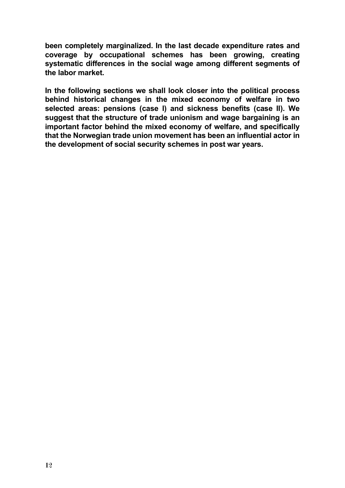**been completely marginalized. In the last decade expenditure rates and coverage by occupational schemes has been growing, creating systematic differences in the social wage among different segments of the labor market.** 

**In the following sections we shall look closer into the political process behind historical changes in the mixed economy of welfare in two selected areas: pensions (case I) and sickness benefits (case II). We suggest that the structure of trade unionism and wage bargaining is an important factor behind the mixed economy of welfare, and specifically that the Norwegian trade union movement has been an influential actor in the development of social security schemes in post war years.**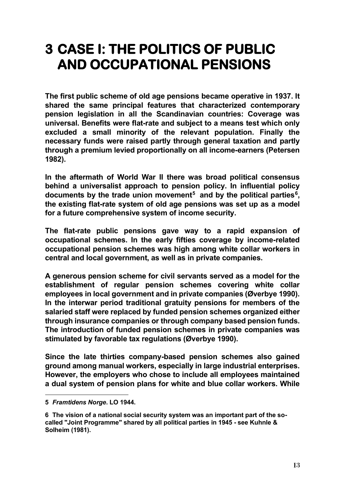# **3 CASE I: THE POLITICS OF PUBLIC AND OCCUPATIONAL PENSIONS**

**The first public scheme of old age pensions became operative in 1937. It shared the same principal features that characterized contemporary pension legislation in all the Scandinavian countries: Coverage was universal. Benefits were flat-rate and subject to a means test which only excluded a small minority of the relevant population. Finally the necessary funds were raised partly through general taxation and partly through a premium levied proportionally on all income-earners (Petersen 1982).** 

**In the aftermath of World War II there was broad political consensus behind a universalist approach to pension policy. In influential policy documents by the trade union movement[5](#page-12-0) and by the political parties[6](#page-12-1), the existing flat-rate system of old age pensions was set up as a model for a future comprehensive system of income security.** 

**The flat-rate public pensions gave way to a rapid expansion of occupational schemes. In the early fifties coverage by income-related occupational pension schemes was high among white collar workers in central and local government, as well as in private companies.** 

**A generous pension scheme for civil servants served as a model for the establishment of regular pension schemes covering white collar employees in local government and in private companies (Øverbye 1990). In the interwar period traditional gratuity pensions for members of the salaried staff were replaced by funded pension schemes organized either through insurance companies or through company based pension funds. The introduction of funded pension schemes in private companies was stimulated by favorable tax regulations (Øverbye 1990).** 

**Since the late thirties company-based pension schemes also gained ground among manual workers, especially in large industrial enterprises. However, the employers who chose to include all employees maintained a dual system of pension plans for white and blue collar workers. While** 

<span id="page-12-0"></span>**<sup>5</sup>** *Framtidens Norge***. LO 1944.**

<span id="page-12-1"></span>**<sup>6</sup> The vision of a national social security system was an important part of the socalled "Joint Programme" shared by all political parties in 1945 - see Kuhnle & Solheim (1981).**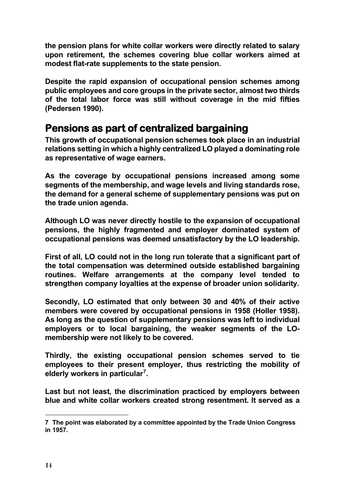**the pension plans for white collar workers were directly related to salary upon retirement, the schemes covering blue collar workers aimed at modest flat-rate supplements to the state pension.** 

**Despite the rapid expansion of occupational pension schemes among public employees and core groups in the private sector, almost two thirds of the total labor force was still without coverage in the mid fifties (Pedersen 1990).** 

### **Pensions as part of centralized bargaining**

**This growth of occupational pension schemes took place in an industrial relations setting in which a highly centralized LO played a dominating role as representative of wage earners.** 

**As the coverage by occupational pensions increased among some segments of the membership, and wage levels and living standards rose, the demand for a general scheme of supplementary pensions was put on the trade union agenda.**

**Although LO was never directly hostile to the expansion of occupational pensions, the highly fragmented and employer dominated system of occupational pensions was deemed unsatisfactory by the LO leadership.**

**First of all, LO could not in the long run tolerate that a significant part of the total compensation was determined outside established bargaining routines. Welfare arrangements at the company level tended to strengthen company loyalties at the expense of broader union solidarity.** 

**Secondly, LO estimated that only between 30 and 40% of their active members were covered by occupational pensions in 1958 (Holler 1958). As long as the question of supplementary pensions was left to individual employers or to local bargaining, the weaker segments of the LOmembership were not likely to be covered.** 

**Thirdly, the existing occupational pension schemes served to tie employees to their present employer, thus restricting the mobility of elderly workers in particular[7](#page-13-0).**

**Last but not least, the discrimination practiced by employers between blue and white collar workers created strong resentment. It served as a** 

<span id="page-13-0"></span>**<sup>7</sup> The point was elaborated by a committee appointed by the Trade Union Congress in 1957.**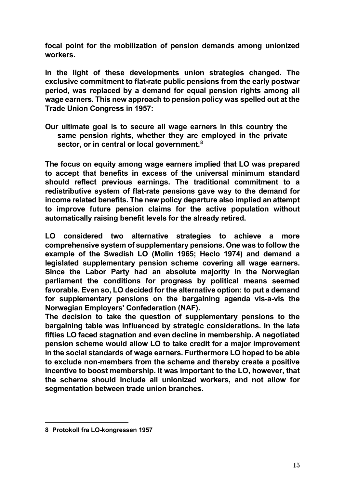**focal point for the mobilization of pension demands among unionized workers.** 

**In the light of these developments union strategies changed. The exclusive commitment to flat-rate public pensions from the early postwar period, was replaced by a demand for equal pension rights among all wage earners. This new approach to pension policy was spelled out at the Trade Union Congress in 1957:**

**Our ultimate goal is to secure all wage earners in this country the same pension rights, whether they are employed in the private sector, or in central or local government.[8](#page-14-0)**

**The focus on equity among wage earners implied that LO was prepared to accept that benefits in excess of the universal minimum standard should reflect previous earnings. The traditional commitment to a redistributive system of flat-rate pensions gave way to the demand for income related benefits. The new policy departure also implied an attempt to improve future pension claims for the active population without automatically raising benefit levels for the already retired.** 

**LO considered two alternative strategies to achieve a more comprehensive system of supplementary pensions. One was to follow the example of the Swedish LO (Molin 1965; Heclo 1974) and demand a legislated supplementary pension scheme covering all wage earners. Since the Labor Party had an absolute majority in the Norwegian parliament the conditions for progress by political means seemed favorable. Even so, LO decided for the alternative option: to put a demand for supplementary pensions on the bargaining agenda vis-a-vis the Norwegian Employers' Confederation (NAF).** 

**The decision to take the question of supplementary pensions to the bargaining table was influenced by strategic considerations. In the late fifties LO faced stagnation and even decline in membership. A negotiated pension scheme would allow LO to take credit for a major improvement in the social standards of wage earners. Furthermore LO hoped to be able to exclude non-members from the scheme and thereby create a positive incentive to boost membership. It was important to the LO, however, that the scheme should include all unionized workers, and not allow for segmentation between trade union branches.** 

<span id="page-14-0"></span>**<sup>8</sup> Protokoll fra LO-kongressen 1957**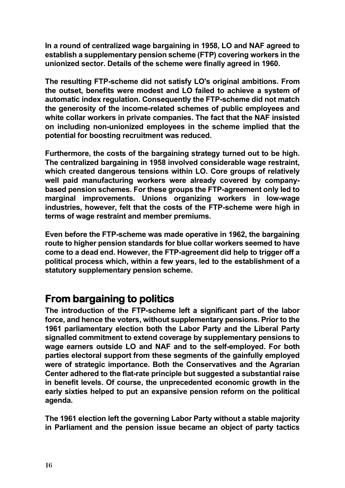**In a round of centralized wage bargaining in 1958, LO and NAF agreed to establish a supplementary pension scheme (FTP) covering workers in the unionized sector. Details of the scheme were finally agreed in 1960.**

**The resulting FTP-scheme did not satisfy LO's original ambitions. From the outset, benefits were modest and LO failed to achieve a system of automatic index regulation. Consequently the FTP-scheme did not match the generosity of the income-related schemes of public employees and white collar workers in private companies. The fact that the NAF insisted on including non-unionized employees in the scheme implied that the potential for boosting recruitment was reduced.** 

**Furthermore, the costs of the bargaining strategy turned out to be high. The centralized bargaining in 1958 involved considerable wage restraint, which created dangerous tensions within LO. Core groups of relatively well paid manufacturing workers were already covered by companybased pension schemes. For these groups the FTP-agreement only led to marginal improvements. Unions organizing workers in low-wage industries, however, felt that the costs of the FTP-scheme were high in terms of wage restraint and member premiums.**

**Even before the FTP-scheme was made operative in 1962, the bargaining route to higher pension standards for blue collar workers seemed to have come to a dead end. However, the FTP-agreement did help to trigger off a political process which, within a few years, led to the establishment of a statutory supplementary pension scheme.**

#### **From bargaining to politics**

**The introduction of the FTP-scheme left a significant part of the labor force, and hence the voters, without supplementary pensions. Prior to the 1961 parliamentary election both the Labor Party and the Liberal Party signalled commitment to extend coverage by supplementary pensions to wage earners outside LO and NAF and to the self-employed. For both parties electoral support from these segments of the gainfully employed were of strategic importance. Both the Conservatives and the Agrarian Center adhered to the flat-rate principle but suggested a substantial raise in benefit levels. Of course, the unprecedented economic growth in the early sixties helped to put an expansive pension reform on the political agenda.**

**The 1961 election left the governing Labor Party without a stable majority in Parliament and the pension issue became an object of party tactics**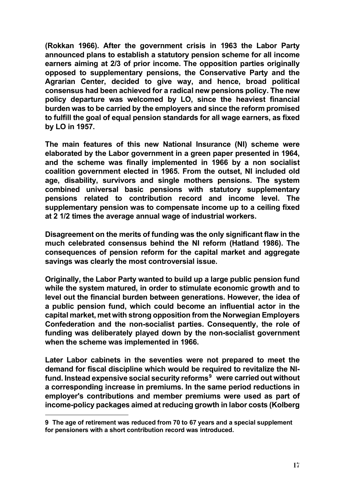**(Rokkan 1966). After the government crisis in 1963 the Labor Party announced plans to establish a statutory pension scheme for all income earners aiming at 2/3 of prior income. The opposition parties originally opposed to supplementary pensions, the Conservative Party and the Agrarian Center, decided to give way, and hence, broad political consensus had been achieved for a radical new pensions policy. The new policy departure was welcomed by LO, since the heaviest financial burden was to be carried by the employers and since the reform promised to fulfill the goal of equal pension standards for all wage earners, as fixed by LO in 1957.** 

**The main features of this new National Insurance (NI) scheme were elaborated by the Labor government in a green paper presented in 1964, and the scheme was finally implemented in 1966 by a non socialist coalition government elected in 1965. From the outset, NI included old age, disability, survivors and single mothers pensions. The system combined universal basic pensions with statutory supplementary pensions related to contribution record and income level. The supplementary pension was to compensate income up to a ceiling fixed at 2 1/2 times the average annual wage of industrial workers.** 

**Disagreement on the merits of funding was the only significant flaw in the much celebrated consensus behind the NI reform (Hatland 1986). The consequences of pension reform for the capital market and aggregate savings was clearly the most controversial issue.** 

**Originally, the Labor Party wanted to build up a large public pension fund while the system matured, in order to stimulate economic growth and to level out the financial burden between generations. However, the idea of a public pension fund, which could become an influential actor in the capital market, met with strong opposition from the Norwegian Employers Confederation and the non-socialist parties. Consequently, the role of funding was deliberately played down by the non-socialist government when the scheme was implemented in 1966.** 

**Later Labor cabinets in the seventies were not prepared to meet the demand for fiscal discipline which would be required to revitalize the NIfund. Instead expensive social security reforms[9](#page-16-0) were carried out without a corresponding increase in premiums. In the same period reductions in employer's contributions and member premiums were used as part of income-policy packages aimed at reducing growth in labor costs (Kolberg** 

<span id="page-16-0"></span>**<sup>9</sup> The age of retirement was reduced from 70 to 67 years and a special supplement for pensioners with a short contribution record was introduced.**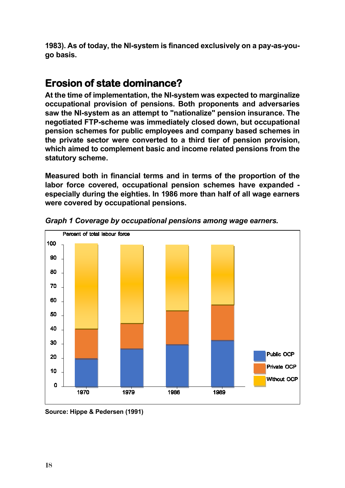**1983). As of today, the NI-system is financed exclusively on a pay-as-yougo basis.** 

### **Erosion of state dominance?**

**At the time of implementation, the NI-system was expected to marginalize occupational provision of pensions. Both proponents and adversaries saw the NI-system as an attempt to "nationalize" pension insurance. The negotiated FTP-scheme was immediately closed down, but occupational pension schemes for public employees and company based schemes in the private sector were converted to a third tier of pension provision, which aimed to complement basic and income related pensions from the statutory scheme.** 

**Measured both in financial terms and in terms of the proportion of the labor force covered, occupational pension schemes have expanded especially during the eighties. In 1986 more than half of all wage earners were covered by occupational pensions.** 



*Graph 1 Coverage by occupational pensions among wage earners.*

**Source: Hippe & Pedersen (1991)**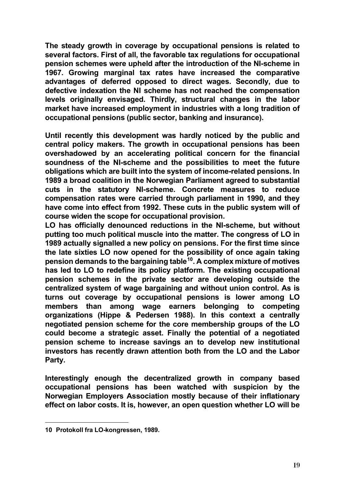**The steady growth in coverage by occupational pensions is related to several factors. First of all, the favorable tax regulations for occupational pension schemes were upheld after the introduction of the NI-scheme in 1967. Growing marginal tax rates have increased the comparative advantages of deferred opposed to direct wages. Secondly, due to defective indexation the NI scheme has not reached the compensation levels originally envisaged. Thirdly, structural changes in the labor market have increased employment in industries with a long tradition of occupational pensions (public sector, banking and insurance).** 

**Until recently this development was hardly noticed by the public and central policy makers. The growth in occupational pensions has been overshadowed by an accelerating political concern for the financial soundness of the NI-scheme and the possibilities to meet the future obligations which are built into the system of income-related pensions. In 1989 a broad coalition in the Norwegian Parliament agreed to substantial cuts in the statutory NI-scheme. Concrete measures to reduce compensation rates were carried through parliament in 1990, and they have come into effect from 1992. These cuts in the public system will of course widen the scope for occupational provision.** 

**LO has officially denounced reductions in the NI-scheme, but without putting too much political muscle into the matter. The congress of LO in 1989 actually signalled a new policy on pensions. For the first time since the late sixties LO now opened for the possibility of once again taking pension demands to the bargaining table[10.](#page-18-0) A complex mixture of motives has led to LO to redefine its policy platform. The existing occupational pension schemes in the private sector are developing outside the centralized system of wage bargaining and without union control. As is turns out coverage by occupational pensions is lower among LO members than among wage earners belonging to competing organizations (Hippe & Pedersen 1988). In this context a centrally negotiated pension scheme for the core membership groups of the LO could become a strategic asset. Finally the potential of a negotiated pension scheme to increase savings an to develop new institutional investors has recently drawn attention both from the LO and the Labor Party.** 

**Interestingly enough the decentralized growth in company based occupational pensions has been watched with suspicion by the Norwegian Employers Association mostly because of their inflationary effect on labor costs. It is, however, an open question whether LO will be** 

<span id="page-18-0"></span>**<sup>10</sup> Protokoll fra LO-kongressen, 1989.**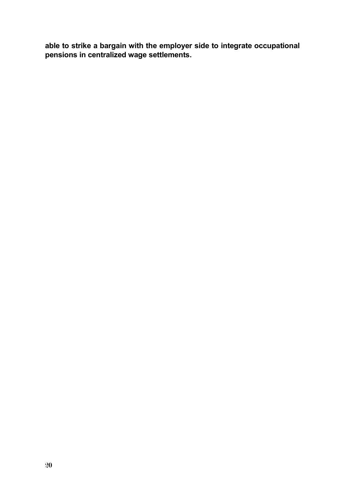**able to strike a bargain with the employer side to integrate occupational pensions in centralized wage settlements.**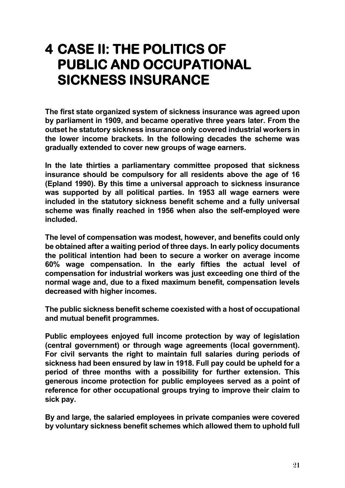# **4 CASE II: THE POLITICS OF PUBLIC AND OCCUPATIONAL SICKNESS INSURANCE**

**The first state organized system of sickness insurance was agreed upon by parliament in 1909, and became operative three years later. From the outset he statutory sickness insurance only covered industrial workers in the lower income brackets. In the following decades the scheme was gradually extended to cover new groups of wage earners.**

**In the late thirties a parliamentary committee proposed that sickness insurance should be compulsory for all residents above the age of 16 (Epland 1990). By this time a universal approach to sickness insurance was supported by all political parties. In 1953 all wage earners were included in the statutory sickness benefit scheme and a fully universal scheme was finally reached in 1956 when also the self-employed were included.** 

**The level of compensation was modest, however, and benefits could only be obtained after a waiting period of three days. In early policy documents the political intention had been to secure a worker on average income 60% wage compensation. In the early fifties the actual level of compensation for industrial workers was just exceeding one third of the normal wage and, due to a fixed maximum benefit, compensation levels decreased with higher incomes.** 

**The public sickness benefit scheme coexisted with a host of occupational and mutual benefit programmes.** 

**Public employees enjoyed full income protection by way of legislation (central government) or through wage agreements (local government). For civil servants the right to maintain full salaries during periods of sickness had been ensured by law in 1918. Full pay could be upheld for a period of three months with a possibility for further extension. This generous income protection for public employees served as a point of reference for other occupational groups trying to improve their claim to sick pay.** 

**By and large, the salaried employees in private companies were covered by voluntary sickness benefit schemes which allowed them to uphold full**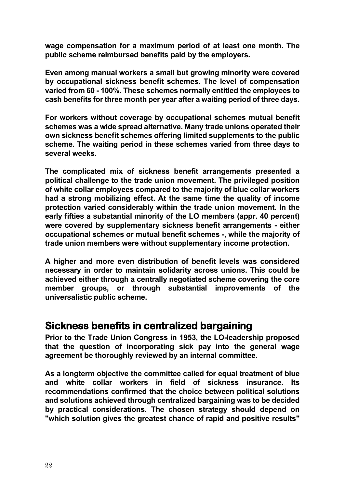**wage compensation for a maximum period of at least one month. The public scheme reimbursed benefits paid by the employers.**

**Even among manual workers a small but growing minority were covered by occupational sickness benefit schemes. The level of compensation varied from 60 - 100%. These schemes normally entitled the employees to cash benefits for three month per year after a waiting period of three days.** 

**For workers without coverage by occupational schemes mutual benefit schemes was a wide spread alternative. Many trade unions operated their own sickness benefit schemes offering limited supplements to the public scheme. The waiting period in these schemes varied from three days to several weeks.** 

**The complicated mix of sickness benefit arrangements presented a political challenge to the trade union movement. The privileged position of white collar employees compared to the majority of blue collar workers had a strong mobilizing effect. At the same time the quality of income protection varied considerably within the trade union movement. In the early fifties a substantial minority of the LO members (appr. 40 percent) were covered by supplementary sickness benefit arrangements - either occupational schemes or mutual benefit schemes -, while the majority of trade union members were without supplementary income protection.** 

**A higher and more even distribution of benefit levels was considered necessary in order to maintain solidarity across unions. This could be achieved either through a centrally negotiated scheme covering the core member groups, or through substantial improvements of the universalistic public scheme.**

#### **Sickness benefits in centralized bargaining**

**Prior to the Trade Union Congress in 1953, the LO-leadership proposed that the question of incorporating sick pay into the general wage agreement be thoroughly reviewed by an internal committee.** 

**As a longterm objective the committee called for equal treatment of blue and white collar workers in field of sickness insurance. Its recommendations confirmed that the choice between political solutions and solutions achieved through centralized bargaining was to be decided by practical considerations. The chosen strategy should depend on "which solution gives the greatest chance of rapid and positive results"**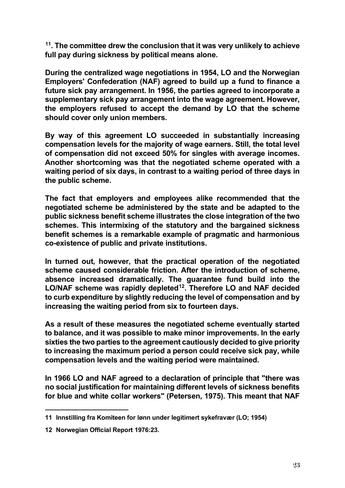**[11](#page-22-0). The committee drew the conclusion that it was very unlikely to achieve full pay during sickness by political means alone.**

**During the centralized wage negotiations in 1954, LO and the Norwegian Employers' Confederation (NAF) agreed to build up a fund to finance a future sick pay arrangement. In 1956, the parties agreed to incorporate a supplementary sick pay arrangement into the wage agreement. However, the employers refused to accept the demand by LO that the scheme should cover only union members.**

**By way of this agreement LO succeeded in substantially increasing compensation levels for the majority of wage earners. Still, the total level of compensation did not exceed 50% for singles with average incomes. Another shortcoming was that the negotiated scheme operated with a waiting period of six days, in contrast to a waiting period of three days in the public scheme.** 

**The fact that employers and employees alike recommended that the negotiated scheme be administered by the state and be adapted to the public sickness benefit scheme illustrates the close integration of the two schemes. This intermixing of the statutory and the bargained sickness benefit schemes is a remarkable example of pragmatic and harmonious co-existence of public and private institutions.**

**In turned out, however, that the practical operation of the negotiated scheme caused considerable friction. After the introduction of scheme, absence increased dramatically. The guarantee fund build into the LO/NAF scheme was rapidly depleted[12](#page-22-1). Therefore LO and NAF decided to curb expenditure by slightly reducing the level of compensation and by increasing the waiting period from six to fourteen days.** 

**As a result of these measures the negotiated scheme eventually started to balance, and it was possible to make minor improvements. In the early sixties the two parties to the agreement cautiously decided to give priority to increasing the maximum period a person could receive sick pay, while compensation levels and the waiting period were maintained.** 

**In 1966 LO and NAF agreed to a declaration of principle that "there was no social justification for maintaining different levels of sickness benefits for blue and white collar workers" (Petersen, 1975). This meant that NAF** 

<span id="page-22-0"></span>**<sup>11</sup> Innstilling fra Komiteen for lønn under legitimert sykefravær (LO; 1954)**

<span id="page-22-1"></span>**<sup>12</sup> Norwegian Official Report 1976:23.**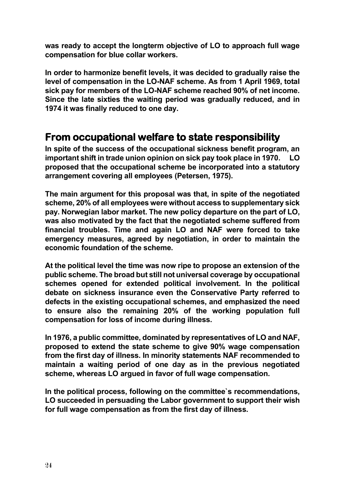**was ready to accept the longterm objective of LO to approach full wage compensation for blue collar workers.** 

**In order to harmonize benefit levels, it was decided to gradually raise the level of compensation in the LO-NAF scheme. As from 1 April 1969, total sick pay for members of the LO-NAF scheme reached 90% of net income. Since the late sixties the waiting period was gradually reduced, and in 1974 it was finally reduced to one day.**

#### **From occupational welfare to state responsibility**

**In spite of the success of the occupational sickness benefit program, an important shift in trade union opinion on sick pay took place in 1970. LO proposed that the occupational scheme be incorporated into a statutory arrangement covering all employees (Petersen, 1975).**

**The main argument for this proposal was that, in spite of the negotiated scheme, 20% of all employees were without access to supplementary sick pay. Norwegian labor market. The new policy departure on the part of LO, was also motivated by the fact that the negotiated scheme suffered from financial troubles. Time and again LO and NAF were forced to take emergency measures, agreed by negotiation, in order to maintain the economic foundation of the scheme.**

**At the political level the time was now ripe to propose an extension of the public scheme. The broad but still not universal coverage by occupational schemes opened for extended political involvement. In the political debate on sickness insurance even the Conservative Party referred to defects in the existing occupational schemes, and emphasized the need to ensure also the remaining 20% of the working population full compensation for loss of income during illness.**

**In 1976, a public committee, dominated by representatives of LO and NAF, proposed to extend the state scheme to give 90% wage compensation from the first day of illness. In minority statements NAF recommended to maintain a waiting period of one day as in the previous negotiated scheme, whereas LO argued in favor of full wage compensation.** 

**In the political process, following on the committee`s recommendations, LO succeeded in persuading the Labor government to support their wish for full wage compensation as from the first day of illness.**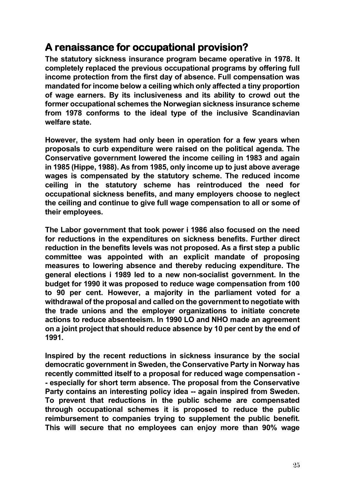### **A renaissance for occupational provision?**

**The statutory sickness insurance program became operative in 1978. It completely replaced the previous occupational programs by offering full income protection from the first day of absence. Full compensation was mandated for income below a ceiling which only affected a tiny proportion of wage earners. By its inclusiveness and its ability to crowd out the former occupational schemes the Norwegian sickness insurance scheme from 1978 conforms to the ideal type of the inclusive Scandinavian welfare state.**

**However, the system had only been in operation for a few years when proposals to curb expenditure were raised on the political agenda. The Conservative government lowered the income ceiling in 1983 and again in 1985 (Hippe, 1988). As from 1985, only income up to just above average wages is compensated by the statutory scheme. The reduced income ceiling in the statutory scheme has reintroduced the need for occupational sickness benefits, and many employers choose to neglect the ceiling and continue to give full wage compensation to all or some of their employees.** 

**The Labor government that took power i 1986 also focused on the need for reductions in the expenditures on sickness benefits. Further direct reduction in the benefits levels was not proposed. As a first step a public committee was appointed with an explicit mandate of proposing measures to lowering absence and thereby reducing expenditure. The general elections i 1989 led to a new non-socialist government. In the budget for 1990 it was proposed to reduce wage compensation from 100 to 90 per cent. However, a majority in the parliament voted for a withdrawal of the proposal and called on the government to negotiate with the trade unions and the employer organizations to initiate concrete actions to reduce absenteeism. In 1990 LO and NHO made an agreement on a joint project that should reduce absence by 10 per cent by the end of 1991.** 

**Inspired by the recent reductions in sickness insurance by the social democratic government in Sweden, the Conservative Party in Norway has recently committed itself to a proposal for reduced wage compensation - - especially for short term absence. The proposal from the Conservative Party contains an interesting policy idea -- again inspired from Sweden. To prevent that reductions in the public scheme are compensated through occupational schemes it is proposed to reduce the public reimbursement to companies trying to supplement the public benefit. This will secure that no employees can enjoy more than 90% wage**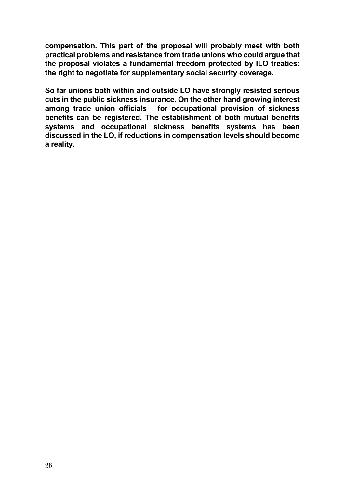**compensation. This part of the proposal will probably meet with both practical problems and resistance from trade unions who could argue that the proposal violates a fundamental freedom protected by ILO treaties: the right to negotiate for supplementary social security coverage.** 

**So far unions both within and outside LO have strongly resisted serious cuts in the public sickness insurance. On the other hand growing interest among trade union officials for occupational provision of sickness benefits can be registered. The establishment of both mutual benefits systems and occupational sickness benefits systems has been discussed in the LO, if reductions in compensation levels should become a reality.**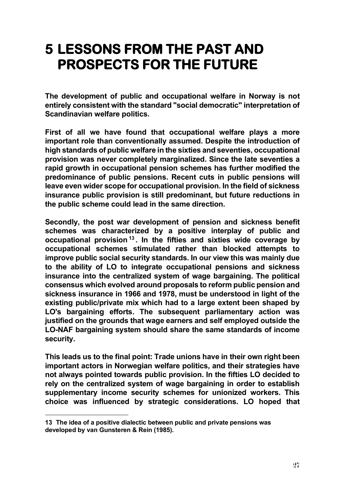## **5 LESSONS FROM THE PAST AND PROSPECTS FOR THE FUTURE**

**The development of public and occupational welfare in Norway is not entirely consistent with the standard "social democratic" interpretation of Scandinavian welfare politics.** 

**First of all we have found that occupational welfare plays a more important role than conventionally assumed. Despite the introduction of high standards of public welfare in the sixties and seventies, occupational provision was never completely marginalized. Since the late seventies a rapid growth in occupational pension schemes has further modified the predominance of public pensions. Recent cuts in public pensions will leave even wider scope for occupational provision. In the field of sickness insurance public provision is still predominant, but future reductions in the public scheme could lead in the same direction.**

**Secondly, the post war development of pension and sickness benefit schemes was characterized by a positive interplay of public and occupational provision [13](#page-26-0) . In the fifties and sixties wide coverage by occupational schemes stimulated rather than blocked attempts to improve public social security standards. In our view this was mainly due to the ability of LO to integrate occupational pensions and sickness insurance into the centralized system of wage bargaining. The political consensus which evolved around proposals to reform public pension and sickness insurance in 1966 and 1978, must be understood in light of the existing public/private mix which had to a large extent been shaped by LO's bargaining efforts. The subsequent parliamentary action was justified on the grounds that wage earners and self employed outside the LO-NAF bargaining system should share the same standards of income security.** 

**This leads us to the final point: Trade unions have in their own right been important actors in Norwegian welfare politics, and their strategies have not always pointed towards public provision. In the fifties LO decided to rely on the centralized system of wage bargaining in order to establish supplementary income security schemes for unionized workers. This choice was influenced by strategic considerations. LO hoped that** 

<span id="page-26-0"></span>**<sup>13</sup> The idea of a positive dialectic between public and private pensions was developed by van Gunsteren & Rein (1985).**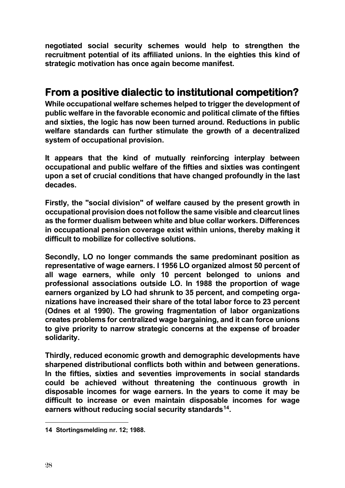**negotiated social security schemes would help to strengthen the recruitment potential of its affiliated unions. In the eighties this kind of strategic motivation has once again become manifest.**

#### **From a positive dialectic to institutional competition?**

**While occupational welfare schemes helped to trigger the development of public welfare in the favorable economic and political climate of the fifties and sixties, the logic has now been turned around. Reductions in public welfare standards can further stimulate the growth of a decentralized system of occupational provision.** 

**It appears that the kind of mutually reinforcing interplay between occupational and public welfare of the fifties and sixties was contingent upon a set of crucial conditions that have changed profoundly in the last decades.** 

**Firstly, the "social division" of welfare caused by the present growth in occupational provision does not follow the same visible and clearcut lines as the former dualism between white and blue collar workers. Differences in occupational pension coverage exist within unions, thereby making it difficult to mobilize for collective solutions.**

**Secondly, LO no longer commands the same predominant position as representative of wage earners. I 1956 LO organized almost 50 percent of all wage earners, while only 10 percent belonged to unions and professional associations outside LO. In 1988 the proportion of wage earners organized by LO had shrunk to 35 percent, and competing organizations have increased their share of the total labor force to 23 percent (Odnes et al 1990). The growing fragmentation of labor organizations creates problems for centralized wage bargaining, and it can force unions to give priority to narrow strategic concerns at the expense of broader solidarity.** 

**Thirdly, reduced economic growth and demographic developments have sharpened distributional conflicts both within and between generations. In the fifties, sixties and seventies improvements in social standards could be achieved without threatening the continuous growth in disposable incomes for wage earners. In the years to come it may be difficult to increase or even maintain disposable incomes for wage earners without reducing social security standards[14](#page-27-0).** 

<span id="page-27-0"></span>**<sup>14</sup> Stortingsmelding nr. 12; 1988.**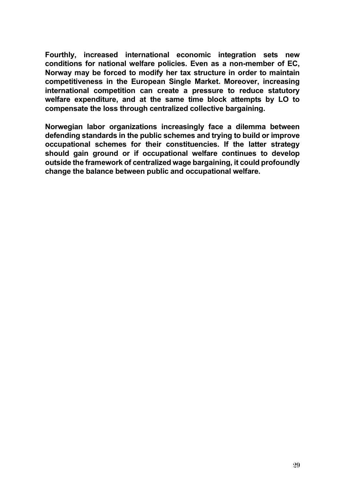**Fourthly, increased international economic integration sets new conditions for national welfare policies. Even as a non-member of EC, Norway may be forced to modify her tax structure in order to maintain competitiveness in the European Single Market. Moreover, increasing international competition can create a pressure to reduce statutory welfare expenditure, and at the same time block attempts by LO to compensate the loss through centralized collective bargaining.** 

**Norwegian labor organizations increasingly face a dilemma between defending standards in the public schemes and trying to build or improve occupational schemes for their constituencies. If the latter strategy should gain ground or if occupational welfare continues to develop outside the framework of centralized wage bargaining, it could profoundly change the balance between public and occupational welfare.**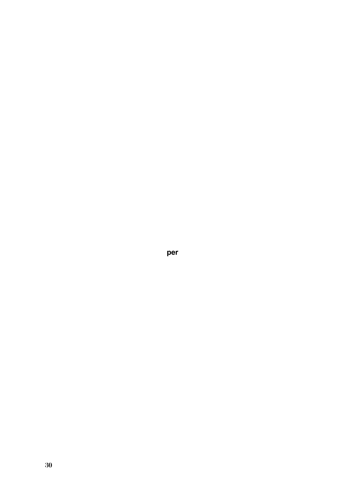**per**